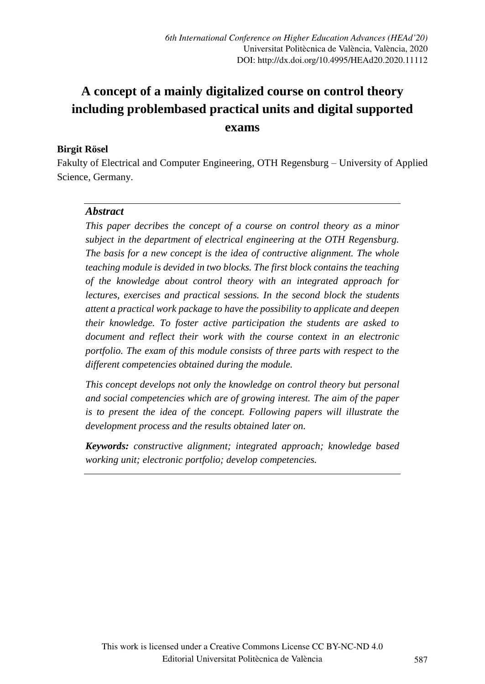# **A concept of a mainly digitalized course on control theory including problembased practical units and digital supported exams**

#### **Birgit Rösel**

Fakulty of Electrical and Computer Engineering, OTH Regensburg – University of Applied Science, Germany.

#### *Abstract*

*This paper decribes the concept of a course on control theory as a minor subject in the department of electrical engineering at the OTH Regensburg. The basis for a new concept is the idea of contructive alignment. The whole teaching module is devided in two blocks. The first block contains the teaching of the knowledge about control theory with an integrated approach for lectures, exercises and practical sessions. In the second block the students attent a practical work package to have the possibility to applicate and deepen their knowledge. To foster active participation the students are asked to document and reflect their work with the course context in an electronic portfolio. The exam of this module consists of three parts with respect to the different competencies obtained during the module.*

*This concept develops not only the knowledge on control theory but personal and social competencies which are of growing interest. The aim of the paper is to present the idea of the concept. Following papers will illustrate the development process and the results obtained later on.*

*Keywords: constructive alignment; integrated approach; knowledge based working unit; electronic portfolio; develop competencies.*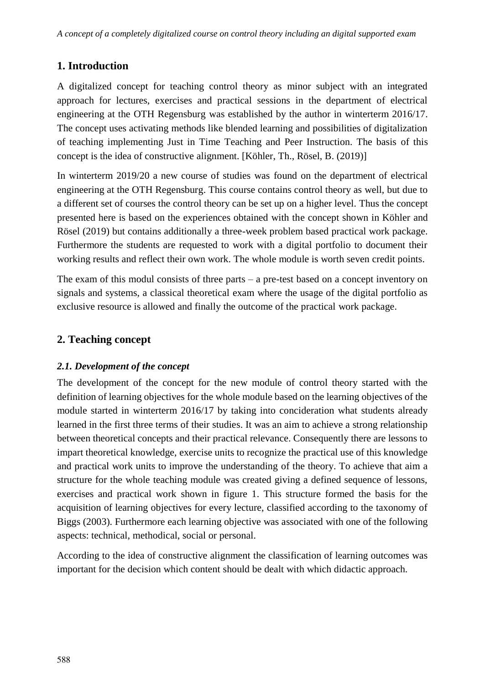# **1. Introduction**

A digitalized concept for teaching control theory as minor subject with an integrated approach for lectures, exercises and practical sessions in the department of electrical engineering at the OTH Regensburg was established by the author in winterterm 2016/17. The concept uses activating methods like blended learning and possibilities of digitalization of teaching implementing Just in Time Teaching and Peer Instruction. The basis of this concept is the idea of constructive alignment. [Köhler, Th., Rösel, B. (2019)]

In winterterm 2019/20 a new course of studies was found on the department of electrical engineering at the OTH Regensburg. This course contains control theory as well, but due to a different set of courses the control theory can be set up on a higher level. Thus the concept presented here is based on the experiences obtained with the concept shown in Köhler and Rösel (2019) but contains additionally a three-week problem based practical work package. Furthermore the students are requested to work with a digital portfolio to document their working results and reflect their own work. The whole module is worth seven credit points.

The exam of this modul consists of three parts – a pre-test based on a concept inventory on signals and systems, a classical theoretical exam where the usage of the digital portfolio as exclusive resource is allowed and finally the outcome of the practical work package.

## **2. Teaching concept**

## *2.1. Development of the concept*

The development of the concept for the new module of control theory started with the definition of learning objectives for the whole module based on the learning objectives of the module started in winterterm 2016/17 by taking into concideration what students already learned in the first three terms of their studies. It was an aim to achieve a strong relationship between theoretical concepts and their practical relevance. Consequently there are lessons to impart theoretical knowledge, exercise units to recognize the practical use of this knowledge and practical work units to improve the understanding of the theory. To achieve that aim a structure for the whole teaching module was created giving a defined sequence of lessons, exercises and practical work shown in figure 1. This structure formed the basis for the acquisition of learning objectives for every lecture, classified according to the taxonomy of Biggs (2003). Furthermore each learning objective was associated with one of the following aspects: technical, methodical, social or personal.

According to the idea of constructive alignment the classification of learning outcomes was important for the decision which content should be dealt with which didactic approach.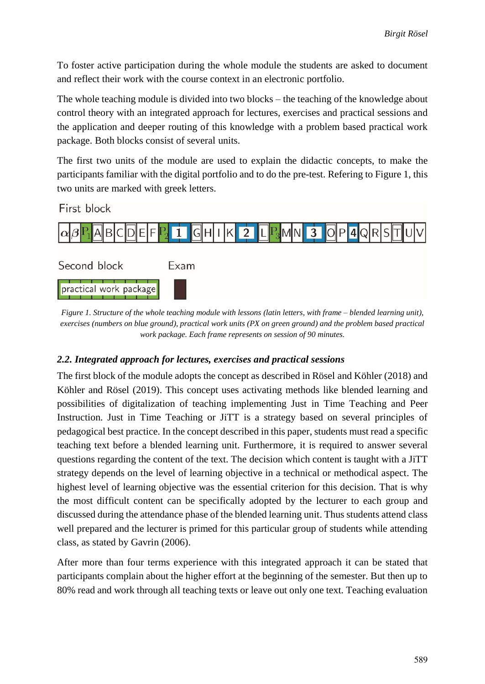To foster active participation during the whole module the students are asked to document and reflect their work with the course context in an electronic portfolio.

The whole teaching module is divided into two blocks – the teaching of the knowledge about control theory with an integrated approach for lectures, exercises and practical sessions and the application and deeper routing of this knowledge with a problem based practical work package. Both blocks consist of several units.

The first two units of the module are used to explain the didactic concepts, to make the participants familiar with the digital portfolio and to do the pre-test. Refering to Figure 1, this two units are marked with greek letters.

First block



*Figure 1. Structure of the whole teaching module with lessons (latin letters, with frame – blended learning unit), exercises (numbers on blue ground), practical work units (PX on green ground) and the problem based practical work package. Each frame represents on session of 90 minutes.*

## *2.2. Integrated approach for lectures, exercises and practical sessions*

The first block of the module adopts the concept as described in Rösel and Köhler (2018) and Köhler and Rösel (2019). This concept uses activating methods like blended learning and possibilities of digitalization of teaching implementing Just in Time Teaching and Peer Instruction. Just in Time Teaching or JiTT is a strategy based on several principles of pedagogical best practice. In the concept described in this paper, students must read a specific teaching text before a blended learning unit. Furthermore, it is required to answer several questions regarding the content of the text. The decision which content is taught with a JiTT strategy depends on the level of learning objective in a technical or methodical aspect. The highest level of learning objective was the essential criterion for this decision. That is why the most difficult content can be specifically adopted by the lecturer to each group and discussed during the attendance phase of the blended learning unit. Thus students attend class well prepared and the lecturer is primed for this particular group of students while attending class, as stated by Gavrin (2006).

After more than four terms experience with this integrated approach it can be stated that participants complain about the higher effort at the beginning of the semester. But then up to 80% read and work through all teaching texts or leave out only one text. Teaching evaluation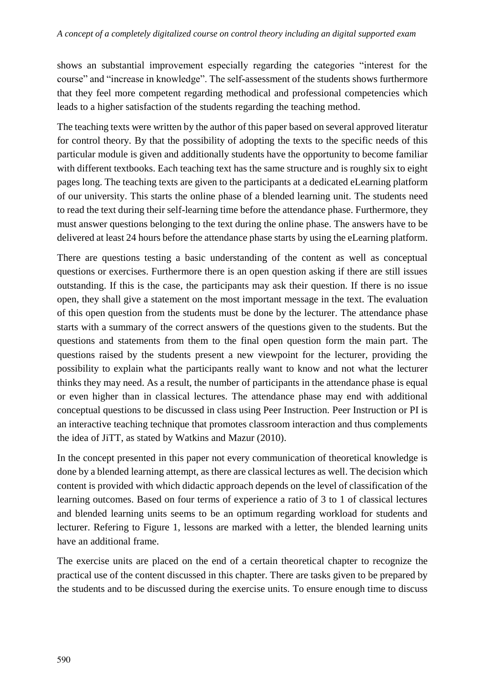shows an substantial improvement especially regarding the categories "interest for the course" and "increase in knowledge". The self-assessment of the students shows furthermore that they feel more competent regarding methodical and professional competencies which leads to a higher satisfaction of the students regarding the teaching method.

The teaching texts were written by the author of this paper based on several approved literatur for control theory. By that the possibility of adopting the texts to the specific needs of this particular module is given and additionally students have the opportunity to become familiar with different textbooks. Each teaching text has the same structure and is roughly six to eight pages long. The teaching texts are given to the participants at a dedicated eLearning platform of our university. This starts the online phase of a blended learning unit. The students need to read the text during their self-learning time before the attendance phase. Furthermore, they must answer questions belonging to the text during the online phase. The answers have to be delivered at least 24 hours before the attendance phase starts by using the eLearning platform.

There are questions testing a basic understanding of the content as well as conceptual questions or exercises. Furthermore there is an open question asking if there are still issues outstanding. If this is the case, the participants may ask their question. If there is no issue open, they shall give a statement on the most important message in the text. The evaluation of this open question from the students must be done by the lecturer. The attendance phase starts with a summary of the correct answers of the questions given to the students. But the questions and statements from them to the final open question form the main part. The questions raised by the students present a new viewpoint for the lecturer, providing the possibility to explain what the participants really want to know and not what the lecturer thinks they may need. As a result, the number of participants in the attendance phase is equal or even higher than in classical lectures. The attendance phase may end with additional conceptual questions to be discussed in class using Peer Instruction. Peer Instruction or PI is an interactive teaching technique that promotes classroom interaction and thus complements the idea of JiTT, as stated by Watkins and Mazur (2010).

In the concept presented in this paper not every communication of theoretical knowledge is done by a blended learning attempt, as there are classical lectures as well. The decision which content is provided with which didactic approach depends on the level of classification of the learning outcomes. Based on four terms of experience a ratio of 3 to 1 of classical lectures and blended learning units seems to be an optimum regarding workload for students and lecturer. Refering to Figure 1, lessons are marked with a letter, the blended learning units have an additional frame.

The exercise units are placed on the end of a certain theoretical chapter to recognize the practical use of the content discussed in this chapter. There are tasks given to be prepared by the students and to be discussed during the exercise units. To ensure enough time to discuss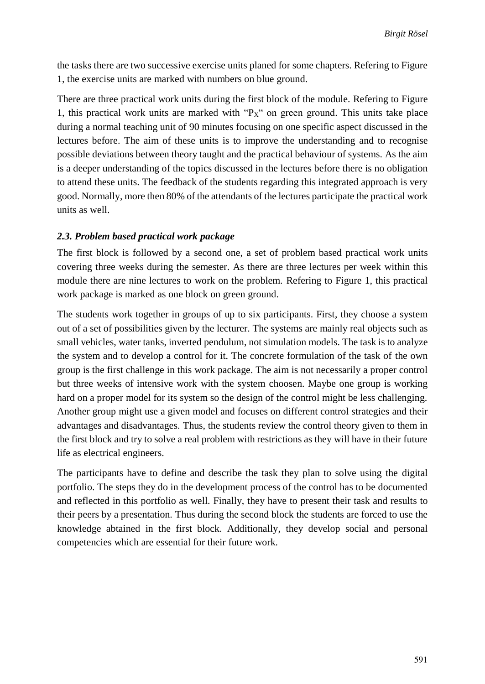the tasks there are two successive exercise units planed for some chapters. Refering to Figure 1, the exercise units are marked with numbers on blue ground.

There are three practical work units during the first block of the module. Refering to Figure 1, this practical work units are marked with " $Px''$  on green ground. This units take place during a normal teaching unit of 90 minutes focusing on one specific aspect discussed in the lectures before. The aim of these units is to improve the understanding and to recognise possible deviations between theory taught and the practical behaviour of systems. As the aim is a deeper understanding of the topics discussed in the lectures before there is no obligation to attend these units. The feedback of the students regarding this integrated approach is very good. Normally, more then 80% of the attendants of the lectures participate the practical work units as well.

#### *2.3. Problem based practical work package*

The first block is followed by a second one, a set of problem based practical work units covering three weeks during the semester. As there are three lectures per week within this module there are nine lectures to work on the problem. Refering to Figure 1, this practical work package is marked as one block on green ground.

The students work together in groups of up to six participants. First, they choose a system out of a set of possibilities given by the lecturer. The systems are mainly real objects such as small vehicles, water tanks, inverted pendulum, not simulation models. The task is to analyze the system and to develop a control for it. The concrete formulation of the task of the own group is the first challenge in this work package. The aim is not necessarily a proper control but three weeks of intensive work with the system choosen. Maybe one group is working hard on a proper model for its system so the design of the control might be less challenging. Another group might use a given model and focuses on different control strategies and their advantages and disadvantages. Thus, the students review the control theory given to them in the first block and try to solve a real problem with restrictions as they will have in their future life as electrical engineers.

The participants have to define and describe the task they plan to solve using the digital portfolio. The steps they do in the development process of the control has to be documented and reflected in this portfolio as well. Finally, they have to present their task and results to their peers by a presentation. Thus during the second block the students are forced to use the knowledge abtained in the first block. Additionally, they develop social and personal competencies which are essential for their future work.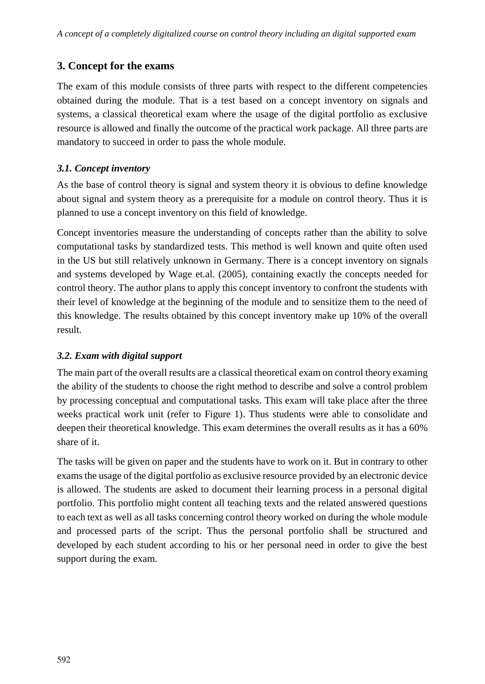# **3. Concept for the exams**

The exam of this module consists of three parts with respect to the different competencies obtained during the module. That is a test based on a concept inventory on signals and systems, a classical theoretical exam where the usage of the digital portfolio as exclusive resource is allowed and finally the outcome of the practical work package. All three parts are mandatory to succeed in order to pass the whole module.

## *3.1. Concept inventory*

As the base of control theory is signal and system theory it is obvious to define knowledge about signal and system theory as a prerequisite for a module on control theory. Thus it is planned to use a concept inventory on this field of knowledge.

Concept inventories measure the understanding of concepts rather than the ability to solve computational tasks by standardized tests. This method is well known and quite often used in the US but still relatively unknown in Germany. There is a concept inventory on signals and systems developed by Wage et.al. (2005), containing exactly the concepts needed for control theory. The author plans to apply this concept inventory to confront the students with their level of knowledge at the beginning of the module and to sensitize them to the need of this knowledge. The results obtained by this concept inventory make up 10% of the overall result.

## *3.2. Exam with digital support*

The main part of the overall results are a classical theoretical exam on control theory examing the ability of the students to choose the right method to describe and solve a control problem by processing conceptual and computational tasks. This exam will take place after the three weeks practical work unit (refer to Figure 1). Thus students were able to consolidate and deepen their theoretical knowledge. This exam determines the overall results as it has a 60% share of it.

The tasks will be given on paper and the students have to work on it. But in contrary to other exams the usage of the digital portfolio as exclusive resource provided by an electronic device is allowed. The students are asked to document their learning process in a personal digital portfolio. This portfolio might content all teaching texts and the related answered questions to each text as well as all tasks concerning control theory worked on during the whole module and processed parts of the script. Thus the personal portfolio shall be structured and developed by each student according to his or her personal need in order to give the best support during the exam.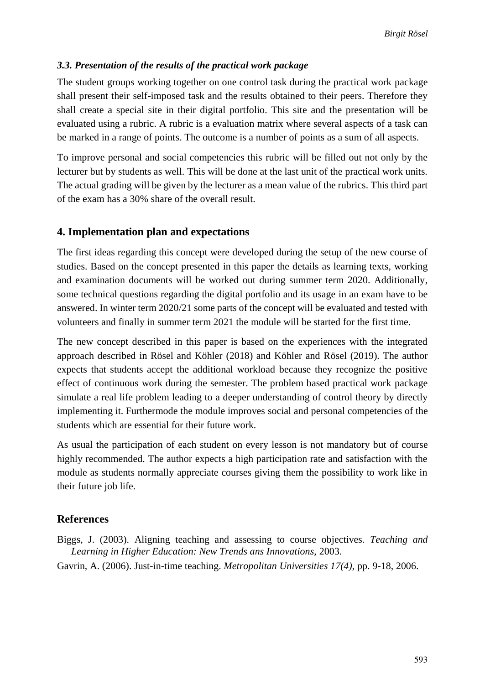## *3.3. Presentation of the results of the practical work package*

The student groups working together on one control task during the practical work package shall present their self-imposed task and the results obtained to their peers. Therefore they shall create a special site in their digital portfolio. This site and the presentation will be evaluated using a rubric. A rubric is a evaluation matrix where several aspects of a task can be marked in a range of points. The outcome is a number of points as a sum of all aspects.

To improve personal and social competencies this rubric will be filled out not only by the lecturer but by students as well. This will be done at the last unit of the practical work units. The actual grading will be given by the lecturer as a mean value of the rubrics. This third part of the exam has a 30% share of the overall result.

## **4. Implementation plan and expectations**

The first ideas regarding this concept were developed during the setup of the new course of studies. Based on the concept presented in this paper the details as learning texts, working and examination documents will be worked out during summer term 2020. Additionally, some technical questions regarding the digital portfolio and its usage in an exam have to be answered. In winter term 2020/21 some parts of the concept will be evaluated and tested with volunteers and finally in summer term 2021 the module will be started for the first time.

The new concept described in this paper is based on the experiences with the integrated approach described in Rösel and Köhler (2018) and Köhler and Rösel (2019). The author expects that students accept the additional workload because they recognize the positive effect of continuous work during the semester. The problem based practical work package simulate a real life problem leading to a deeper understanding of control theory by directly implementing it. Furthermode the module improves social and personal competencies of the students which are essential for their future work.

As usual the participation of each student on every lesson is not mandatory but of course highly recommended. The author expects a high participation rate and satisfaction with the module as students normally appreciate courses giving them the possibility to work like in their future job life.

# **References**

Biggs, J. (2003). Aligning teaching and assessing to course objectives. *Teaching and Learning in Higher Education: New Trends ans Innovations,* 2003.

Gavrin, A. (2006). Just-in-time teaching. *Metropolitan Universities 17(4),* pp. 9-18, 2006.